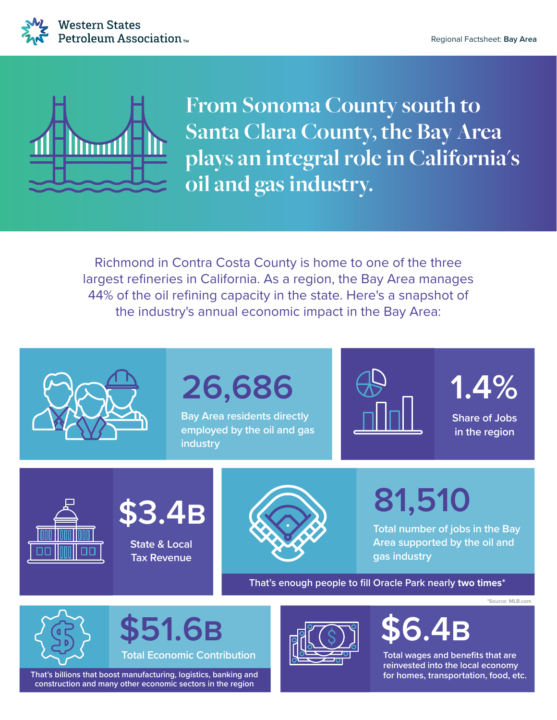



**From Sonoma County south to Santa Clara County, the Bay Area plays an integral role in California's oil and gas industry.**

Richmond in Contra Costa County is home to one of the three largest refineries in California. As a region, the Bay Area manages 44% of the oil refining capacity in the state. Here's a snapshot of the industry's annual economic impact in the Bay Area:



## **26,686**

**Bay Area residents directly employed by the oil and gas industry**



**1.4%**

**Share of Jobs in the region**





**State & Local Tax Revenue**



**81,510**

**Total number of jobs in the Bay Area supported by the oil and gas industry**

**That's enough people to fill Oracle Park nearly two times\***

**\*Source: MLB.com**



**51.6B** 

**Total Economic Contribution**

That's billions that boost manufacturing, logistics, banking and **for the example of the standard for homes**, transportation, food, etc. **construction and many other economic sectors in the region**



**Total wages and benefits that are reinvested into the local economy**